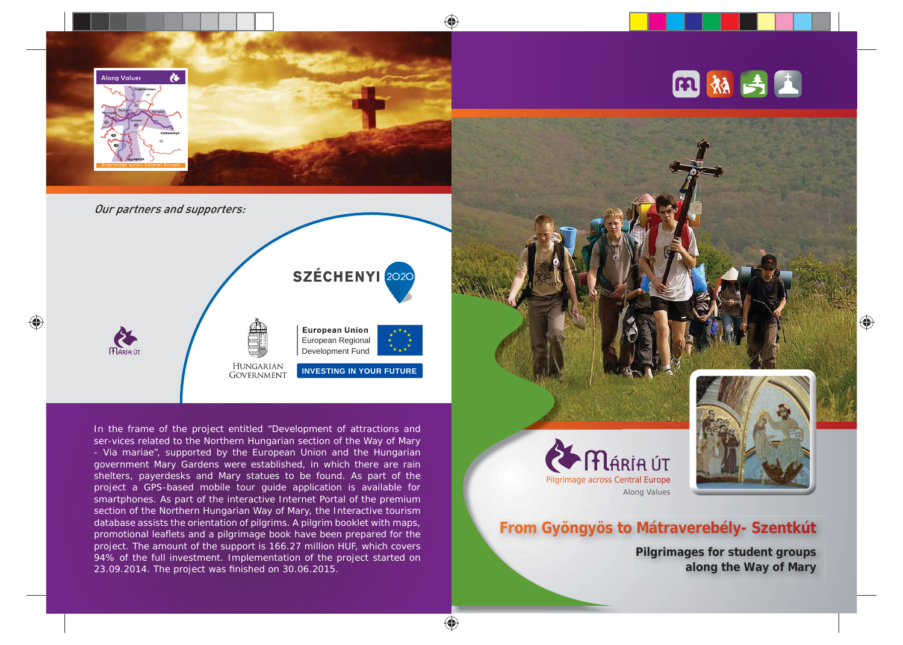

In the frame of the project entitled "Development of attractions and ser-vices related to the Northern Hungarian section of the Way of Mary - Via mariae", supported by the European Union and the Hungarian government Mary Gardens were established, in which there are rain shelters, payerdesks and Mary statues to be found. As part of the project a GPS-based mobile tour guide application is available for smartphones. As part of the interactive Internet Portal of the premium section of the Northern Hungarian Way of Mary, the Interactive tourism database assists the orientation of pilgrims. A pilgrim booklet with maps, promotional leaflets and a pilgrimage book have been prepared for the project. The amount of the support is 166.27 million HUF, which covers 94% of the full investment. Implementation of the project started on 23.09.2014. The project was finished on 30.06.2015.





♠

## **From Gyöngyös to Mátraverebély- Szentkút**

**Pilgrimages for student groups along the Way of Mary**

♠